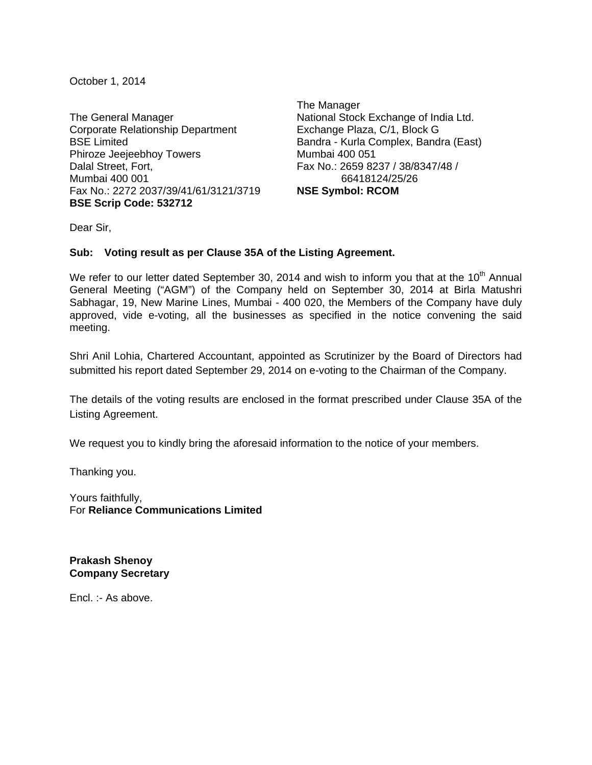October 1, 2014

The General Manager Corporate Relationship Department BSE Limited Phiroze Jeejeebhoy Towers Dalal Street, Fort, Mumbai 400 001 Fax No.: 2272 2037/39/41/61/3121/3719 **BSE Scrip Code: 532712** 

The Manager National Stock Exchange of India Ltd. Exchange Plaza, C/1, Block G Bandra - Kurla Complex, Bandra (East) Mumbai 400 051 Fax No.: 2659 8237 / 38/8347/48 / 66418124/25/26 **NSE Symbol: RCOM** 

Dear Sir,

## **Sub: Voting result as per Clause 35A of the Listing Agreement.**

We refer to our letter dated September 30, 2014 and wish to inform you that at the 10<sup>th</sup> Annual General Meeting ("AGM") of the Company held on September 30, 2014 at Birla Matushri Sabhagar, 19, New Marine Lines, Mumbai - 400 020, the Members of the Company have duly approved, vide e-voting, all the businesses as specified in the notice convening the said meeting.

Shri Anil Lohia, Chartered Accountant, appointed as Scrutinizer by the Board of Directors had submitted his report dated September 29, 2014 on e-voting to the Chairman of the Company.

The details of the voting results are enclosed in the format prescribed under Clause 35A of the Listing Agreement.

We request you to kindly bring the aforesaid information to the notice of your members.

Thanking you.

Yours faithfully, For **Reliance Communications Limited** 

**Prakash Shenoy Company Secretary** 

Encl. :- As above.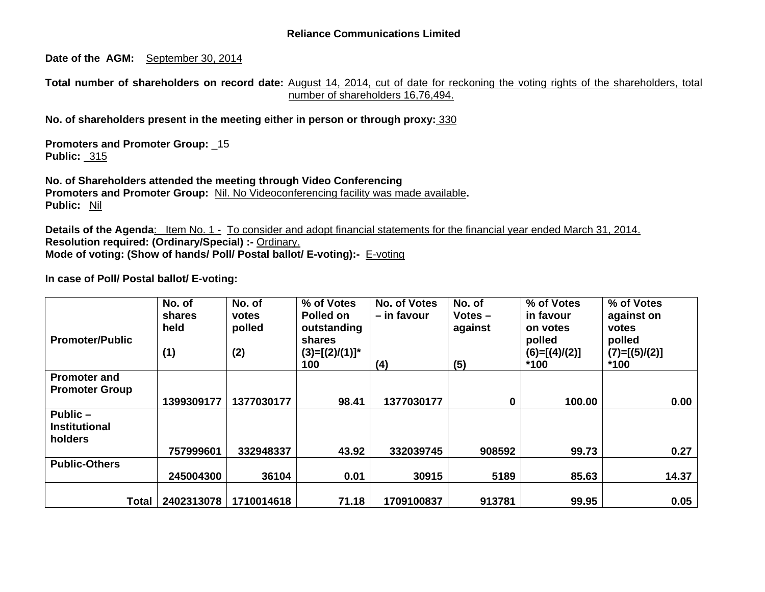**Date of the AGM:** September 30, 2014

**Total number of shareholders on record date:** August 14, 2014, cut of date for reckoning the voting rights of the shareholders, total number of shareholders 16,76,494.

**No. of shareholders present in the meeting either in person or through proxy:** 330

**Promoters and Promoter Group:** \_15 **Public:** 315

**No. of Shareholders attended the meeting through Video Conferencing Promoters and Promoter Group:** Nil. No Videoconferencing facility was made available**. Public:** Nil

**Details of the Agenda**: Item No. 1 - To consider and adopt financial statements for the financial year ended March 31, 2014. **Resolution required: (Ordinary/Special) :-** Ordinary. **Mode of voting: (Show of hands/ Poll/ Postal ballot/ E-voting):-** E-voting

| <b>Promoter/Public</b> | No. of<br>shares<br>held<br>(1) | No. of<br>votes<br>polled<br>(2) | % of Votes<br>Polled on<br>outstanding<br><b>shares</b><br>$(3)=[(2)/(1)]^*$<br>100 | No. of Votes<br>- in favour<br>(4) | No. of<br>$Votes -$<br>against<br>(5) | % of Votes<br>in favour<br>on votes<br>polled<br>$(6)=[(4)/(2)]$<br>$*100$ | % of Votes<br>against on<br>votes<br>polled<br>$(7)=[(5)/(2)]$<br>$*100$ |
|------------------------|---------------------------------|----------------------------------|-------------------------------------------------------------------------------------|------------------------------------|---------------------------------------|----------------------------------------------------------------------------|--------------------------------------------------------------------------|
| <b>Promoter and</b>    |                                 |                                  |                                                                                     |                                    |                                       |                                                                            |                                                                          |
| <b>Promoter Group</b>  |                                 |                                  |                                                                                     |                                    |                                       |                                                                            |                                                                          |
|                        | 1399309177                      | 1377030177                       | 98.41                                                                               | 1377030177                         | 0                                     | 100.00                                                                     | 0.00                                                                     |
| Public-                |                                 |                                  |                                                                                     |                                    |                                       |                                                                            |                                                                          |
| <b>Institutional</b>   |                                 |                                  |                                                                                     |                                    |                                       |                                                                            |                                                                          |
| holders                |                                 |                                  |                                                                                     |                                    |                                       |                                                                            |                                                                          |
|                        | 757999601                       | 332948337                        | 43.92                                                                               | 332039745                          | 908592                                | 99.73                                                                      | 0.27                                                                     |
| <b>Public-Others</b>   |                                 |                                  |                                                                                     |                                    |                                       |                                                                            |                                                                          |
|                        | 245004300                       | 36104                            | 0.01                                                                                | 30915                              | 5189                                  | 85.63                                                                      | 14.37                                                                    |
|                        |                                 |                                  |                                                                                     |                                    |                                       |                                                                            |                                                                          |
| <b>Total</b>           | 2402313078                      | 1710014618                       | 71.18                                                                               | 1709100837                         | 913781                                | 99.95                                                                      | 0.05                                                                     |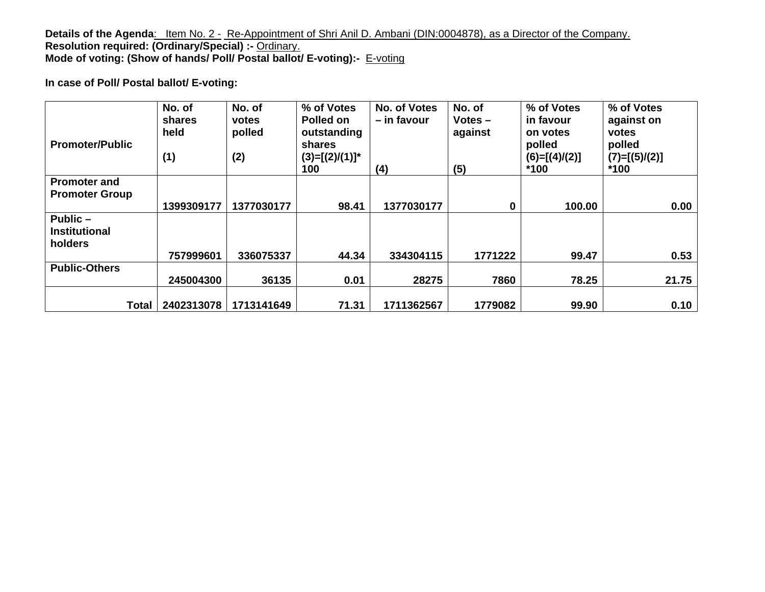**Details of the Agenda**: Item No. 2 - Re-Appointment of Shri Anil D. Ambani (DIN:0004878), as a Director of the Company. **Resolution required: (Ordinary/Special) :-** Ordinary. **Mode of voting: (Show of hands/ Poll/ Postal ballot/ E-voting):-** E-voting

| <b>Promoter/Public</b>                       | No. of<br>shares<br>held<br>(1) | No. of<br>votes<br>polled<br>(2) | % of Votes<br>Polled on<br>outstanding<br><b>shares</b><br>$(3)=[(2)/(1)]^*$<br>100 | No. of Votes<br>– in favour<br>(4) | No. of<br>$Votes -$<br>against<br>(5) | % of Votes<br>in favour<br>on votes<br>polled<br>$(6)=[(4)/(2)]$<br>$*100$ | % of Votes<br>against on<br>votes<br>polled<br>$(7)=[(5)/(2)]$<br>$*100$ |
|----------------------------------------------|---------------------------------|----------------------------------|-------------------------------------------------------------------------------------|------------------------------------|---------------------------------------|----------------------------------------------------------------------------|--------------------------------------------------------------------------|
| <b>Promoter and</b><br><b>Promoter Group</b> | 1399309177                      | 1377030177                       | 98.41                                                                               | 1377030177                         | 0                                     | 100.00                                                                     | 0.00                                                                     |
| Public-<br><b>Institutional</b><br>holders   | 757999601                       | 336075337                        | 44.34                                                                               | 334304115                          | 1771222                               | 99.47                                                                      | 0.53                                                                     |
| <b>Public-Others</b>                         |                                 |                                  |                                                                                     |                                    |                                       |                                                                            |                                                                          |
|                                              | 245004300                       | 36135                            | 0.01                                                                                | 28275                              | 7860                                  | 78.25                                                                      | 21.75                                                                    |
| <b>Total</b>                                 | 2402313078                      | 1713141649                       | 71.31                                                                               | 1711362567                         | 1779082                               | 99.90                                                                      | 0.10                                                                     |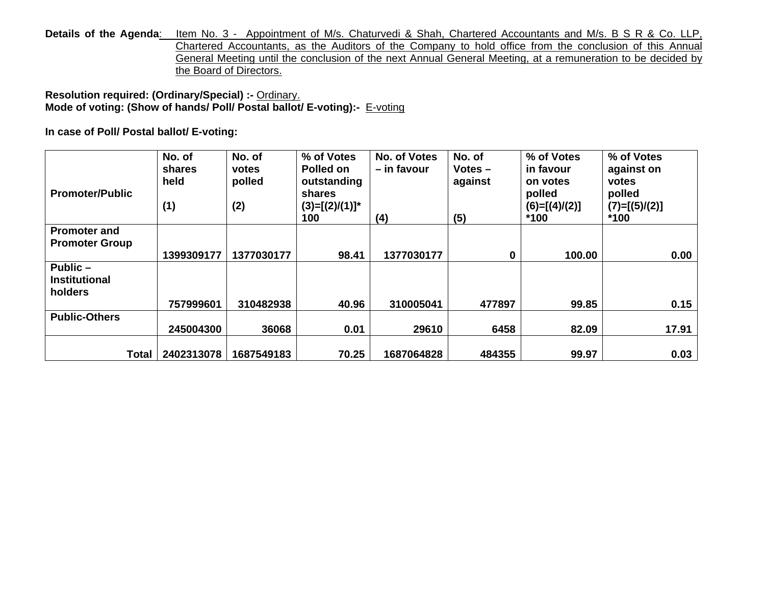Details of the Agenda: Item No. 3 - Appointment of M/s. Chaturvedi & Shah, Chartered Accountants and M/s. B S R & Co. LLP, Chartered Accountants, as the Auditors of the Company to hold office from the conclusion of this Annual General Meeting until the conclusion of the next Annual General Meeting, at a remuneration to be decided by the Board of Directors.

**Resolution required: (Ordinary/Special) :-** Ordinary. **Mode of voting: (Show of hands/ Poll/ Postal ballot/ E-voting):-** E-voting

| <b>Promoter/Public</b>                        | No. of<br>shares<br>held<br>(1) | No. of<br>votes<br>polled<br>(2) | % of Votes<br>Polled on<br>outstanding<br>shares<br>$(3)=[(2)/(1)]^*$<br>100 | No. of Votes<br>- in favour<br>(4) | No. of<br>$Votes -$<br>against<br>(5) | % of Votes<br>in favour<br>on votes<br>polled<br>$(6)=[(4)/(2)]$<br>$*100$ | % of Votes<br>against on<br>votes<br>polled<br>$(7)=[(5)/(2)]$<br>$*100$ |
|-----------------------------------------------|---------------------------------|----------------------------------|------------------------------------------------------------------------------|------------------------------------|---------------------------------------|----------------------------------------------------------------------------|--------------------------------------------------------------------------|
| <b>Promoter and</b>                           |                                 |                                  |                                                                              |                                    |                                       |                                                                            |                                                                          |
| <b>Promoter Group</b>                         | 1399309177                      | 1377030177                       | 98.41                                                                        | 1377030177                         | 0                                     | 100.00                                                                     | 0.00                                                                     |
| Public $-$<br><b>Institutional</b><br>holders |                                 |                                  |                                                                              |                                    |                                       |                                                                            |                                                                          |
|                                               | 757999601                       | 310482938                        | 40.96                                                                        | 310005041                          | 477897                                | 99.85                                                                      | 0.15                                                                     |
| <b>Public-Others</b>                          |                                 |                                  |                                                                              |                                    |                                       |                                                                            |                                                                          |
|                                               | 245004300                       | 36068                            | 0.01                                                                         | 29610                              | 6458                                  | 82.09                                                                      | 17.91                                                                    |
| <b>Total</b>                                  | 2402313078                      | 1687549183                       | 70.25                                                                        | 1687064828                         | 484355                                | 99.97                                                                      | 0.03                                                                     |